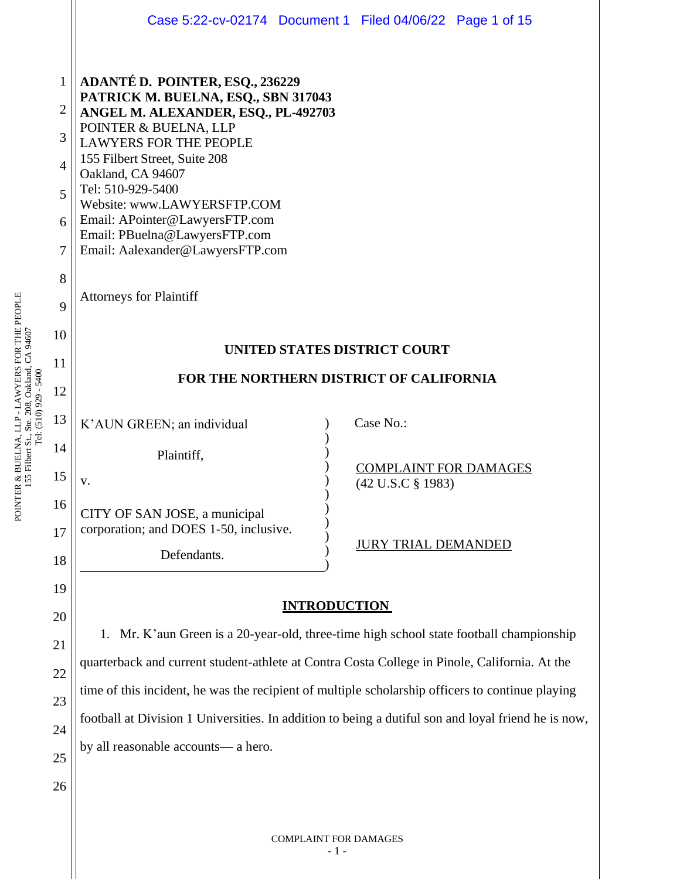|                | Case 5:22-cv-02174 Document 1 Filed 04/06/22 Page 1 of 15                                                                                                                                                                                                                                                                                                                                       |  |  |  |  |  |
|----------------|-------------------------------------------------------------------------------------------------------------------------------------------------------------------------------------------------------------------------------------------------------------------------------------------------------------------------------------------------------------------------------------------------|--|--|--|--|--|
| $\mathbf{1}$   |                                                                                                                                                                                                                                                                                                                                                                                                 |  |  |  |  |  |
|                | <b>ADANTÉ D. POINTER, ESQ., 236229</b><br>PATRICK M. BUELNA, ESQ., SBN 317043<br>ANGEL M. ALEXANDER, ESQ., PL-492703<br>POINTER & BUELNA, LLP<br><b>LAWYERS FOR THE PEOPLE</b><br>155 Filbert Street, Suite 208<br>Oakland, CA 94607<br>Tel: 510-929-5400<br>Website: www.LAWYERSFTP.COM<br>Email: APointer@LawyersFTP.com<br>Email: PBuelna@LawyersFTP.com<br>Email: Aalexander@LawyersFTP.com |  |  |  |  |  |
| $\overline{2}$ |                                                                                                                                                                                                                                                                                                                                                                                                 |  |  |  |  |  |
| 3              |                                                                                                                                                                                                                                                                                                                                                                                                 |  |  |  |  |  |
| 4              |                                                                                                                                                                                                                                                                                                                                                                                                 |  |  |  |  |  |
| 5              |                                                                                                                                                                                                                                                                                                                                                                                                 |  |  |  |  |  |
| 6              |                                                                                                                                                                                                                                                                                                                                                                                                 |  |  |  |  |  |
| 7              |                                                                                                                                                                                                                                                                                                                                                                                                 |  |  |  |  |  |
| 8              | <b>Attorneys for Plaintiff</b>                                                                                                                                                                                                                                                                                                                                                                  |  |  |  |  |  |
| 9              |                                                                                                                                                                                                                                                                                                                                                                                                 |  |  |  |  |  |
| 10             |                                                                                                                                                                                                                                                                                                                                                                                                 |  |  |  |  |  |
| 11             | UNITED STATES DISTRICT COURT<br>FOR THE NORTHERN DISTRICT OF CALIFORNIA                                                                                                                                                                                                                                                                                                                         |  |  |  |  |  |
| 12             |                                                                                                                                                                                                                                                                                                                                                                                                 |  |  |  |  |  |
| 13             |                                                                                                                                                                                                                                                                                                                                                                                                 |  |  |  |  |  |
| 14             | Case No.:<br>K'AUN GREEN; an individual                                                                                                                                                                                                                                                                                                                                                         |  |  |  |  |  |
|                | Plaintiff,<br><b>COMPLAINT FOR DAMAGES</b>                                                                                                                                                                                                                                                                                                                                                      |  |  |  |  |  |
| 15             | (42 U.S.C § 1983)<br>v.                                                                                                                                                                                                                                                                                                                                                                         |  |  |  |  |  |
| 16             | CITY OF SAN JOSE, a municipal                                                                                                                                                                                                                                                                                                                                                                   |  |  |  |  |  |
| 17             | corporation; and DOES 1-50, inclusive.<br><b>JURY TRIAL DEMANDED</b>                                                                                                                                                                                                                                                                                                                            |  |  |  |  |  |
| 18             | Defendants.                                                                                                                                                                                                                                                                                                                                                                                     |  |  |  |  |  |
| 19             |                                                                                                                                                                                                                                                                                                                                                                                                 |  |  |  |  |  |
| 20             | <b>INTRODUCTION</b>                                                                                                                                                                                                                                                                                                                                                                             |  |  |  |  |  |
| 21             | Mr. K'aun Green is a 20-year-old, three-time high school state football championship<br>1.                                                                                                                                                                                                                                                                                                      |  |  |  |  |  |
| 22             | quarterback and current student-athlete at Contra Costa College in Pinole, California. At the<br>time of this incident, he was the recipient of multiple scholarship officers to continue playing                                                                                                                                                                                               |  |  |  |  |  |
| 23             |                                                                                                                                                                                                                                                                                                                                                                                                 |  |  |  |  |  |
|                | football at Division 1 Universities. In addition to being a dutiful son and loyal friend he is now,                                                                                                                                                                                                                                                                                             |  |  |  |  |  |

by all reasonable accounts— a hero.

POINTER & BUELNA, LLP - LAWYERS FOR THE PEOPLE<br>155 Filbert St., Ste. 208, Oakland, CA 94607<br>Tel: (510) 929 - 5400 POINTER & BUELNA, LLP - LAWYERS FOR THE PEOPLE 155 Filbert St., Ste. 208, Oakland, CA 94607 Tel: (510) 929 - 5400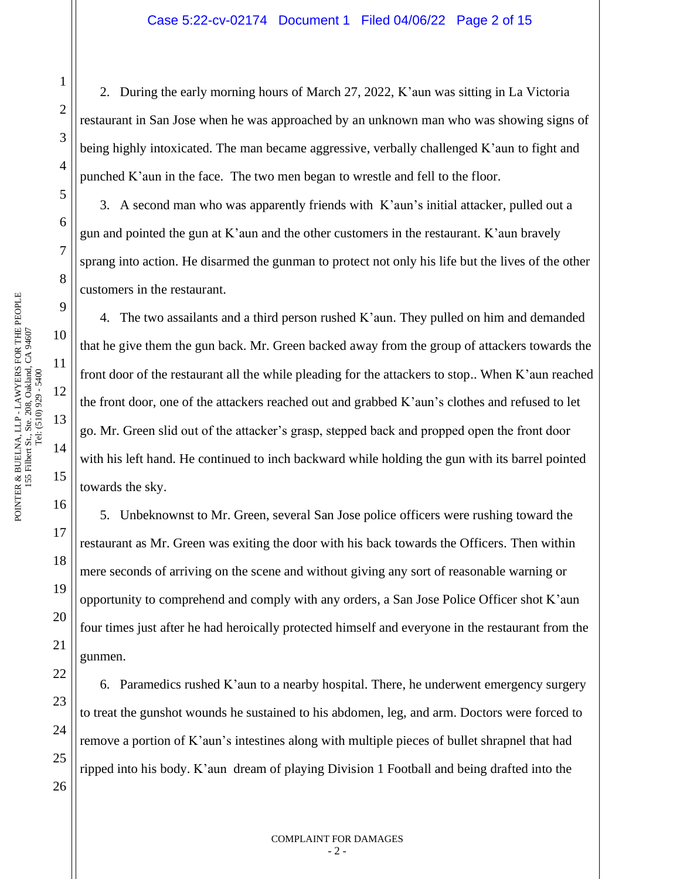2. During the early morning hours of March 27, 2022, K'aun was sitting in La Victoria restaurant in San Jose when he was approached by an unknown man who was showing signs of being highly intoxicated. The man became aggressive, verbally challenged K'aun to fight and punched K'aun in the face. The two men began to wrestle and fell to the floor.

3. A second man who was apparently friends with K'aun's initial attacker, pulled out a gun and pointed the gun at K'aun and the other customers in the restaurant. K'aun bravely sprang into action. He disarmed the gunman to protect not only his life but the lives of the other customers in the restaurant.

4. The two assailants and a third person rushed K'aun. They pulled on him and demanded that he give them the gun back. Mr. Green backed away from the group of attackers towards the front door of the restaurant all the while pleading for the attackers to stop.. When K'aun reached the front door, one of the attackers reached out and grabbed K'aun's clothes and refused to let go. Mr. Green slid out of the attacker's grasp, stepped back and propped open the front door with his left hand. He continued to inch backward while holding the gun with its barrel pointed towards the sky.

5. Unbeknownst to Mr. Green, several San Jose police officers were rushing toward the restaurant as Mr. Green was exiting the door with his back towards the Officers. Then within mere seconds of arriving on the scene and without giving any sort of reasonable warning or opportunity to comprehend and comply with any orders, a San Jose Police Officer shot K'aun four times just after he had heroically protected himself and everyone in the restaurant from the gunmen.

6. Paramedics rushed K'aun to a nearby hospital. There, he underwent emergency surgery to treat the gunshot wounds he sustained to his abdomen, leg, and arm. Doctors were forced to remove a portion of K'aun's intestines along with multiple pieces of bullet shrapnel that had ripped into his body. K'aun dream of playing Division 1 Football and being drafted into the

1

2

3

4

5

6

7

8

9

10

11

12

13

14

15

16

17

18

19

20

21

22

23

24

25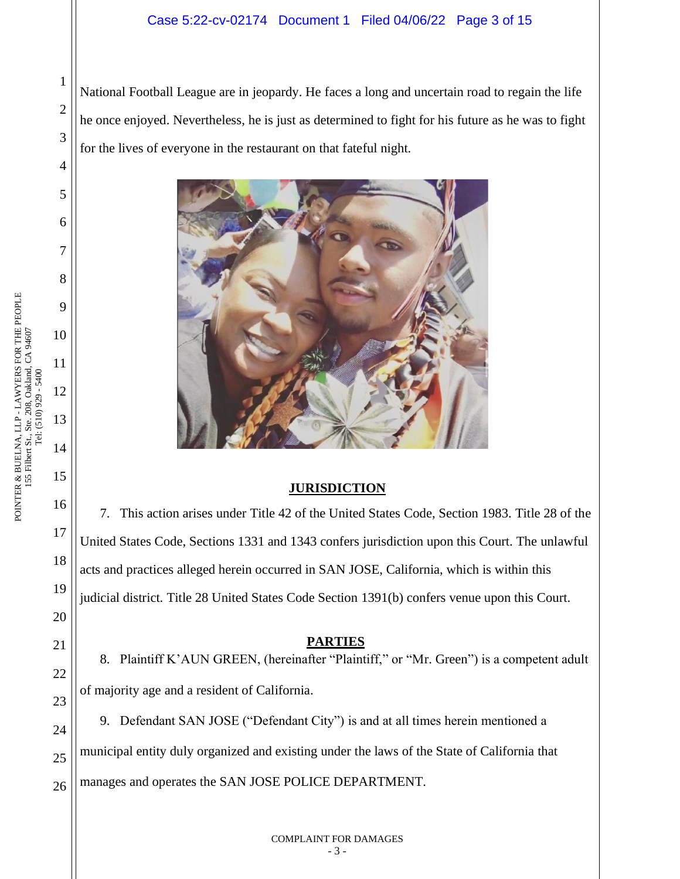## Case 5:22-cv-02174 Document 1 Filed 04/06/22 Page 3 of 15

National Football League are in jeopardy. He faces a long and uncertain road to regain the life he once enjoyed. Nevertheless, he is just as determined to fight for his future as he was to fight for the lives of everyone in the restaurant on that fateful night.



## **JURISDICTION**

7. This action arises under Title 42 of the United States Code, Section 1983. Title 28 of the United States Code, Sections 1331 and 1343 confers jurisdiction upon this Court. The unlawful acts and practices alleged herein occurred in SAN JOSE, California, which is within this judicial district. Title 28 United States Code Section 1391(b) confers venue upon this Court.

#### **PARTIES**

8. Plaintiff K'AUN GREEN, (hereinafter "Plaintiff," or "Mr. Green") is a competent adult of majority age and a resident of California.

9. Defendant SAN JOSE ("Defendant City") is and at all times herein mentioned a municipal entity duly organized and existing under the laws of the State of California that manages and operates the SAN JOSE POLICE DEPARTMENT.

1

2

3

4

5

6

7

8

9

10

11

12

13

14

15

16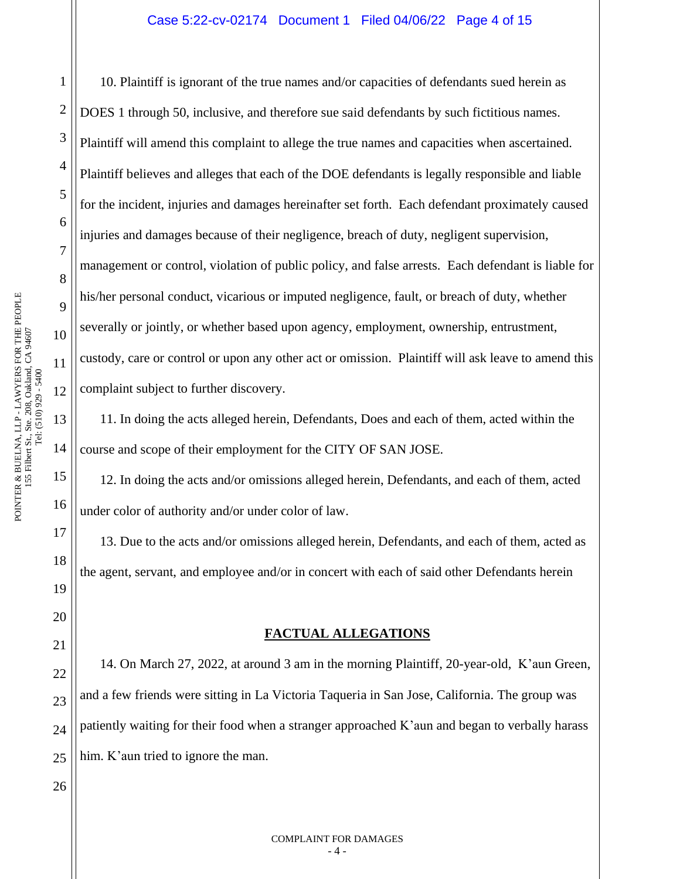### Case 5:22-cv-02174 Document 1 Filed 04/06/22 Page 4 of 15

10. Plaintiff is ignorant of the true names and/or capacities of defendants sued herein as DOES 1 through 50, inclusive, and therefore sue said defendants by such fictitious names. Plaintiff will amend this complaint to allege the true names and capacities when ascertained. Plaintiff believes and alleges that each of the DOE defendants is legally responsible and liable for the incident, injuries and damages hereinafter set forth. Each defendant proximately caused injuries and damages because of their negligence, breach of duty, negligent supervision, management or control, violation of public policy, and false arrests. Each defendant is liable for his/her personal conduct, vicarious or imputed negligence, fault, or breach of duty, whether severally or jointly, or whether based upon agency, employment, ownership, entrustment, custody, care or control or upon any other act or omission. Plaintiff will ask leave to amend this complaint subject to further discovery.

11. In doing the acts alleged herein, Defendants, Does and each of them, acted within the course and scope of their employment for the CITY OF SAN JOSE.

12. In doing the acts and/or omissions alleged herein, Defendants, and each of them, acted under color of authority and/or under color of law.

13. Due to the acts and/or omissions alleged herein, Defendants, and each of them, acted as the agent, servant, and employee and/or in concert with each of said other Defendants herein

#### **FACTUAL ALLEGATIONS**

14. On March 27, 2022, at around 3 am in the morning Plaintiff, 20-year-old, K'aun Green, and a few friends were sitting in La Victoria Taqueria in San Jose, California. The group was patiently waiting for their food when a stranger approached K'aun and began to verbally harass him. K'aun tried to ignore the man.

1

2

3

4

5

6

7

8

9

10

11

12

13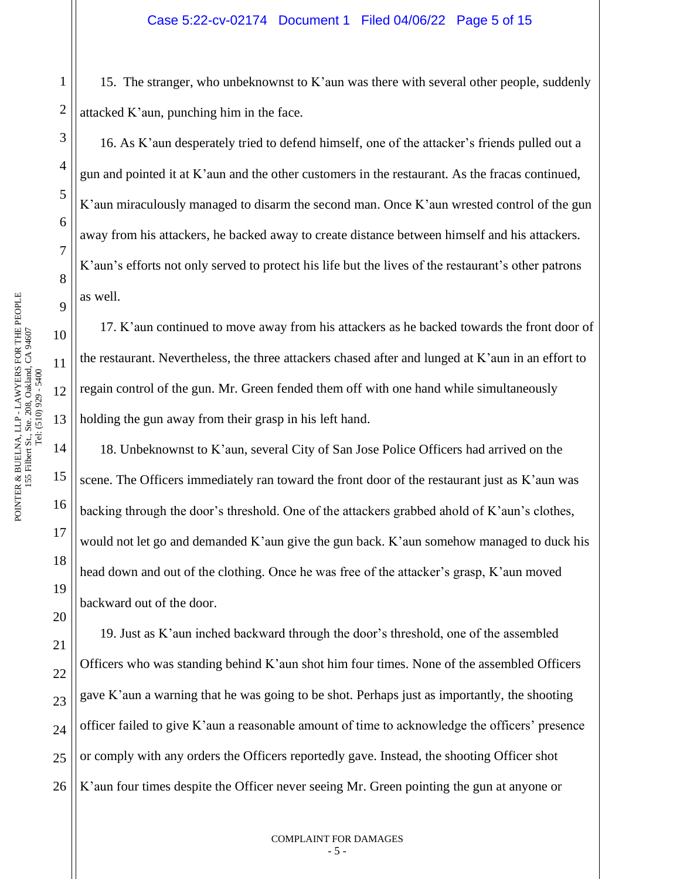15. The stranger, who unbeknownst to K'aun was there with several other people, suddenly attacked K'aun, punching him in the face.

16. As K'aun desperately tried to defend himself, one of the attacker's friends pulled out a gun and pointed it at K'aun and the other customers in the restaurant. As the fracas continued, K'aun miraculously managed to disarm the second man. Once K'aun wrested control of the gun away from his attackers, he backed away to create distance between himself and his attackers. K'aun's efforts not only served to protect his life but the lives of the restaurant's other patrons as well.

17. K'aun continued to move away from his attackers as he backed towards the front door of the restaurant. Nevertheless, the three attackers chased after and lunged at K'aun in an effort to regain control of the gun. Mr. Green fended them off with one hand while simultaneously holding the gun away from their grasp in his left hand.

18. Unbeknownst to K'aun, several City of San Jose Police Officers had arrived on the scene. The Officers immediately ran toward the front door of the restaurant just as K'aun was backing through the door's threshold. One of the attackers grabbed ahold of K'aun's clothes, would not let go and demanded K'aun give the gun back. K'aun somehow managed to duck his head down and out of the clothing. Once he was free of the attacker's grasp, K'aun moved backward out of the door.

21 22 23 24 25 26 19. Just as K'aun inched backward through the door's threshold, one of the assembled Officers who was standing behind K'aun shot him four times. None of the assembled Officers gave K'aun a warning that he was going to be shot. Perhaps just as importantly, the shooting officer failed to give K'aun a reasonable amount of time to acknowledge the officers' presence or comply with any orders the Officers reportedly gave. Instead, the shooting Officer shot K'aun four times despite the Officer never seeing Mr. Green pointing the gun at anyone or

1

2

3

4

5

6

7

8

9

10

11

12

13

14

15

16

17

18

19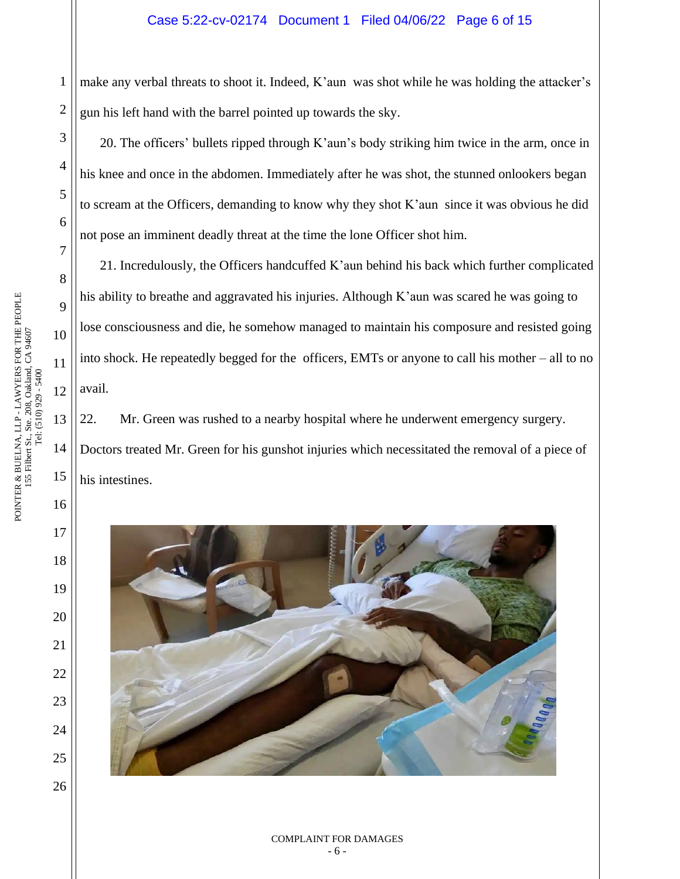### Case 5:22-cv-02174 Document 1 Filed 04/06/22 Page 6 of 15

1 2 make any verbal threats to shoot it. Indeed, K'aun was shot while he was holding the attacker's gun his left hand with the barrel pointed up towards the sky.

20. The officers' bullets ripped through K'aun's body striking him twice in the arm, once in his knee and once in the abdomen. Immediately after he was shot, the stunned onlookers began to scream at the Officers, demanding to know why they shot K'aun since it was obvious he did not pose an imminent deadly threat at the time the lone Officer shot him.

21. Incredulously, the Officers handcuffed K'aun behind his back which further complicated his ability to breathe and aggravated his injuries. Although K'aun was scared he was going to lose consciousness and die, he somehow managed to maintain his composure and resisted going into shock. He repeatedly begged for the officers, EMTs or anyone to call his mother – all to no avail.

22. Mr. Green was rushed to a nearby hospital where he underwent emergency surgery. Doctors treated Mr. Green for his gunshot injuries which necessitated the removal of a piece of his intestines.



3

4

5

6

7

8

9

10

11

12

13

14

15

16

17

18

19

20

21

22

23

24

25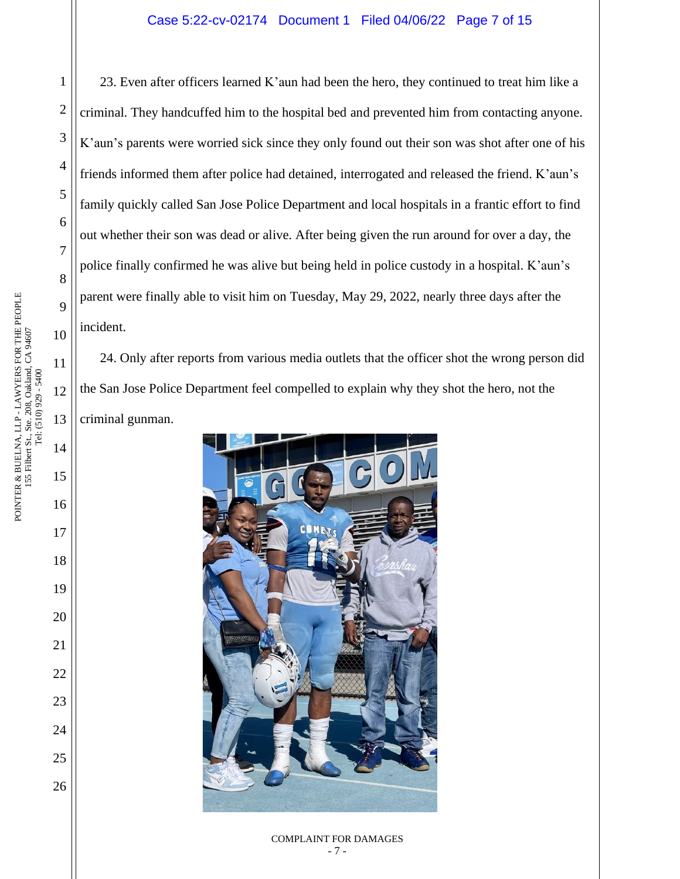23. Even after officers learned K'aun had been the hero, they continued to treat him like a criminal. They handcuffed him to the hospital bed and prevented him from contacting anyone. K'aun's parents were worried sick since they only found out their son was shot after one of his friends informed them after police had detained, interrogated and released the friend. K'aun's family quickly called San Jose Police Department and local hospitals in a frantic effort to find out whether their son was dead or alive. After being given the run around for over a day, the police finally confirmed he was alive but being held in police custody in a hospital. K'aun's parent were finally able to visit him on Tuesday, May 29, 2022, nearly three days after the incident.

24. Only after reports from various media outlets that the officer shot the wrong person did the San Jose Police Department feel compelled to explain why they shot the hero, not the criminal gunman.



#### COMPLAINT FOR DAMAGES - 7 -

1

2

3

4

5

6

7

8

9

10

11

12

13

14

15

16

17

18

19

20

21

22

23

24

25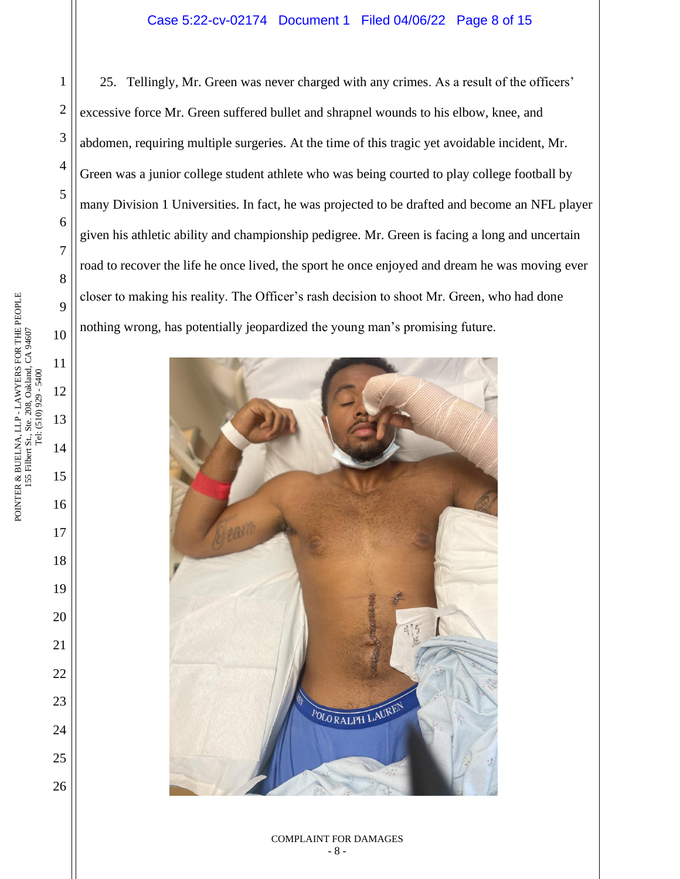## Case 5:22-cv-02174 Document 1 Filed 04/06/22 Page 8 of 15

25. Tellingly, Mr. Green was never charged with any crimes. As a result of the officers' excessive force Mr. Green suffered bullet and shrapnel wounds to his elbow, knee, and abdomen, requiring multiple surgeries. At the time of this tragic yet avoidable incident, Mr. Green was a junior college student athlete who was being courted to play college football by many Division 1 Universities. In fact, he was projected to be drafted and become an NFL player given his athletic ability and championship pedigree. Mr. Green is facing a long and uncertain road to recover the life he once lived, the sport he once enjoyed and dream he was moving ever closer to making his reality. The Officer's rash decision to shoot Mr. Green, who had done nothing wrong, has potentially jeopardized the young man's promising future.

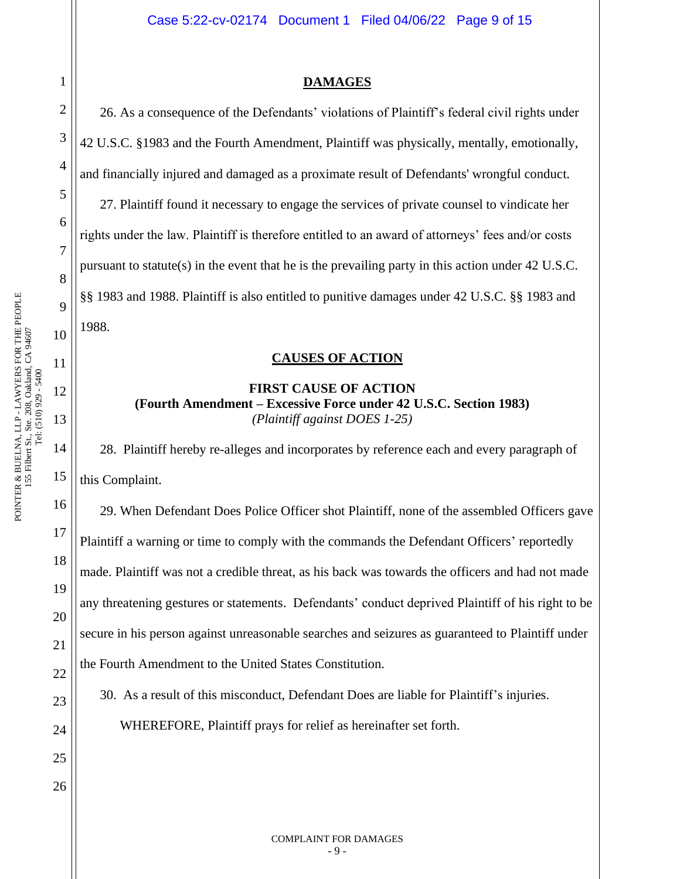## **DAMAGES**

26. As a consequence of the Defendants' violations of Plaintiff's federal civil rights under 42 U.S.C. §1983 and the Fourth Amendment, Plaintiff was physically, mentally, emotionally, and financially injured and damaged as a proximate result of Defendants' wrongful conduct. 27. Plaintiff found it necessary to engage the services of private counsel to vindicate her rights under the law. Plaintiff is therefore entitled to an award of attorneys' fees and/or costs pursuant to statute(s) in the event that he is the prevailing party in this action under 42 U.S.C. §§ 1983 and 1988. Plaintiff is also entitled to punitive damages under 42 U.S.C. §§ 1983 and 1988.

# **CAUSES OF ACTION**

# **FIRST CAUSE OF ACTION (Fourth Amendment – Excessive Force under 42 U.S.C. Section 1983)** *(Plaintiff against DOES 1-25)*

28. Plaintiff hereby re-alleges and incorporates by reference each and every paragraph of this Complaint.

29. When Defendant Does Police Officer shot Plaintiff, none of the assembled Officers gave Plaintiff a warning or time to comply with the commands the Defendant Officers' reportedly made. Plaintiff was not a credible threat, as his back was towards the officers and had not made any threatening gestures or statements. Defendants' conduct deprived Plaintiff of his right to be secure in his person against unreasonable searches and seizures as guaranteed to Plaintiff under the Fourth Amendment to the United States Constitution.

30. As a result of this misconduct, Defendant Does are liable for Plaintiff's injuries.

WHEREFORE, Plaintiff prays for relief as hereinafter set forth.

POINTER & BUELNA, LLP - LAWYERS FOR THE PEOPLE

26

1

2

3

4

5

6

7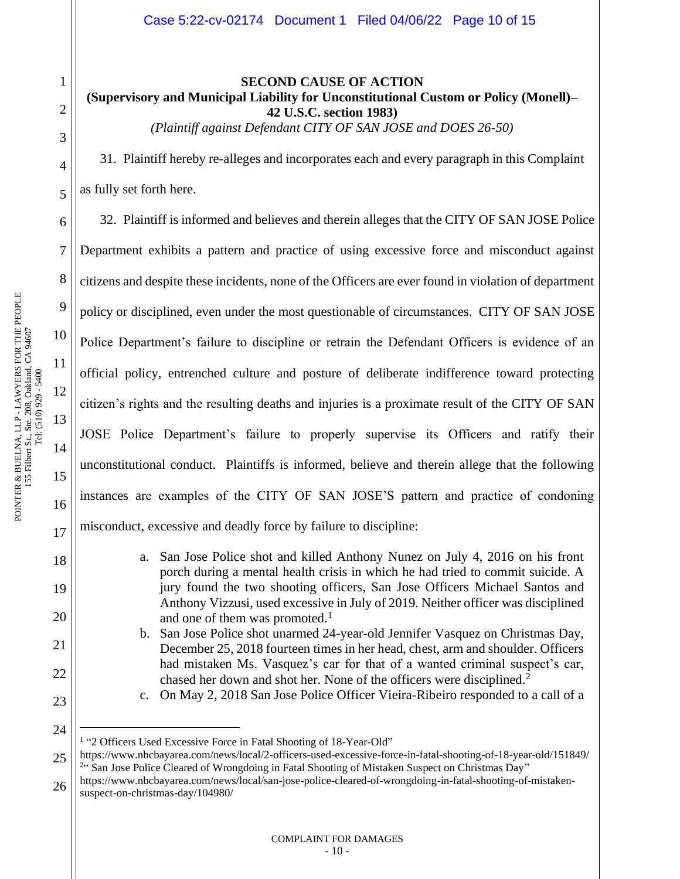1

2

3

4

5

6

7

8

9

20

21

22

23

24

**SECOND CAUSE OF ACTION (Supervisory and Municipal Liability for Unconstitutional Custom or Policy (Monell)– 42 U.S.C. section 1983)**

*(Plaintiff against Defendant CITY OF SAN JOSE and DOES 26-50)*

31. Plaintiff hereby re-alleges and incorporates each and every paragraph in this Complaint as fully set forth here.

32. Plaintiff is informed and believes and therein alleges that the CITY OF SAN JOSE Police Department exhibits a pattern and practice of using excessive force and misconduct against citizens and despite these incidents, none of the Officers are ever found in violation of department policy or disciplined, even under the most questionable of circumstances. CITY OF SAN JOSE Police Department's failure to discipline or retrain the Defendant Officers is evidence of an official policy, entrenched culture and posture of deliberate indifference toward protecting citizen's rights and the resulting deaths and injuries is a proximate result of the CITY OF SAN JOSE Police Department's failure to properly supervise its Officers and ratify their unconstitutional conduct. Plaintiffs is informed, believe and therein allege that the following instances are examples of the CITY OF SAN JOSE'S pattern and practice of condoning misconduct, excessive and deadly force by failure to discipline:

> a. San Jose Police shot and killed Anthony Nunez on July 4, 2016 on his front porch during a mental health crisis in which he had tried to commit suicide. A jury found the two shooting officers, San Jose Officers Michael Santos and Anthony Vizzusi, used excessive in July of 2019. Neither officer was disciplined and one of them was promoted.<sup>1</sup>

> b. San Jose Police shot unarmed 24-year-old Jennifer Vasquez on Christmas Day, December 25, 2018 fourteen times in her head, chest, arm and shoulder. Officers had mistaken Ms. Vasquez's car for that of a wanted criminal suspect's car, chased her down and shot her. None of the officers were disciplined.<sup>2</sup>

25 https://www.nbcbayarea.com/news/local/2-officers-used-excessive-force-in-fatal-shooting-of-18-year-old/151849/ <sup>24</sup> San Jose Police Cleared of Wrongdoing in Fatal Shooting of Mistaken Suspect on Christmas Day"

26 https://www.nbcbayarea.com/news/local/san-jose-police-cleared-of-wrongdoing-in-fatal-shooting-of-mistakensuspect-on-christmas-day/104980/

c. On May 2, 2018 San Jose Police Officer Vieira-Ribeiro responded to a call of a

<sup>&</sup>lt;sup>1</sup> "2 Officers Used Excessive Force in Fatal Shooting of 18-Year-Old"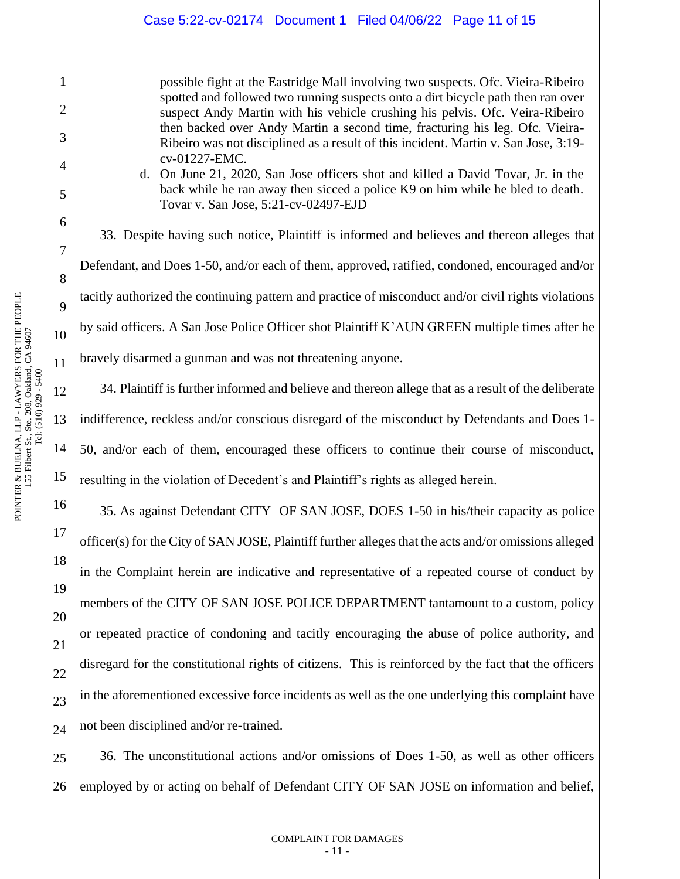possible fight at the Eastridge Mall involving two suspects. Ofc. Vieira-Ribeiro spotted and followed two running suspects onto a dirt bicycle path then ran over suspect Andy Martin with his vehicle crushing his pelvis. Ofc. Veira-Ribeiro then backed over Andy Martin a second time, fracturing his leg. Ofc. Vieira-Ribeiro was not disciplined as a result of this incident. Martin v. San Jose, 3:19 cv-01227-EMC.

d. On June 21, 2020, San Jose officers shot and killed a David Tovar, Jr. in the back while he ran away then sicced a police K9 on him while he bled to death. Tovar v. San Jose, 5:21-cv-02497-EJD

33. Despite having such notice, Plaintiff is informed and believes and thereon alleges that Defendant, and Does 1-50, and/or each of them, approved, ratified, condoned, encouraged and/or tacitly authorized the continuing pattern and practice of misconduct and/or civil rights violations by said officers. A San Jose Police Officer shot Plaintiff K'AUN GREEN multiple times after he bravely disarmed a gunman and was not threatening anyone.

12 34. Plaintiff is further informed and believe and thereon allege that as a result of the deliberate indifference, reckless and/or conscious disregard of the misconduct by Defendants and Does 1- 50, and/or each of them, encouraged these officers to continue their course of misconduct, resulting in the violation of Decedent's and Plaintiff's rights as alleged herein.

35. As against Defendant CITY OF SAN JOSE, DOES 1-50 in his/their capacity as police officer(s) for the City of SAN JOSE, Plaintiff further alleges that the acts and/or omissions alleged in the Complaint herein are indicative and representative of a repeated course of conduct by members of the CITY OF SAN JOSE POLICE DEPARTMENT tantamount to a custom, policy or repeated practice of condoning and tacitly encouraging the abuse of police authority, and disregard for the constitutional rights of citizens. This is reinforced by the fact that the officers in the aforementioned excessive force incidents as well as the one underlying this complaint have not been disciplined and/or re-trained.

25 26 36. The unconstitutional actions and/or omissions of Does 1-50, as well as other officers employed by or acting on behalf of Defendant CITY OF SAN JOSE on information and belief,

1

2

3

4

5

6

7

8

9

10

11

13

14

15

16

17

18

19

20

21

22

23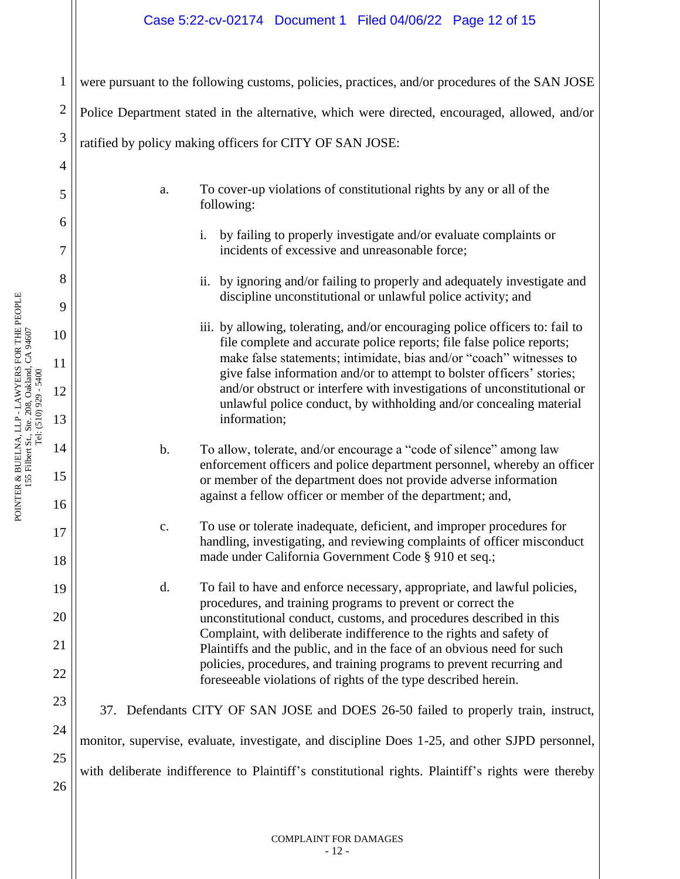# Case 5:22-cv-02174 Document 1 Filed 04/06/22 Page 12 of 15

were pursuant to the following customs, policies, practices, and/or procedures of the SAN JOSE

Police Department stated in the alternative, which were directed, encouraged, allowed, and/or

ratified by policy making officers for CITY OF SAN JOSE:

- a. To cover-up violations of constitutional rights by any or all of the following:
	- i. by failing to properly investigate and/or evaluate complaints or incidents of excessive and unreasonable force;
	- ii. by ignoring and/or failing to properly and adequately investigate and discipline unconstitutional or unlawful police activity; and
	- iii. by allowing, tolerating, and/or encouraging police officers to: fail to file complete and accurate police reports; file false police reports; make false statements; intimidate, bias and/or "coach" witnesses to give false information and/or to attempt to bolster officers' stories; and/or obstruct or interfere with investigations of unconstitutional or unlawful police conduct, by withholding and/or concealing material information;
- b. To allow, tolerate, and/or encourage a "code of silence" among law enforcement officers and police department personnel, whereby an officer or member of the department does not provide adverse information against a fellow officer or member of the department; and,
- c. To use or tolerate inadequate, deficient, and improper procedures for handling, investigating, and reviewing complaints of officer misconduct made under California Government Code § 910 et seq.;
- d. To fail to have and enforce necessary, appropriate, and lawful policies, procedures, and training programs to prevent or correct the unconstitutional conduct, customs, and procedures described in this Complaint, with deliberate indifference to the rights and safety of Plaintiffs and the public, and in the face of an obvious need for such policies, procedures, and training programs to prevent recurring and foreseeable violations of rights of the type described herein.

37. Defendants CITY OF SAN JOSE and DOES 26-50 failed to properly train, instruct, monitor, supervise, evaluate, investigate, and discipline Does 1-25, and other SJPD personnel, with deliberate indifference to Plaintiff's constitutional rights. Plaintiff's rights were thereby

1

2

3

4

5

6

7

8

9

10

11

12

13

14

15

16

17

18

19

20

21

22

23

24

25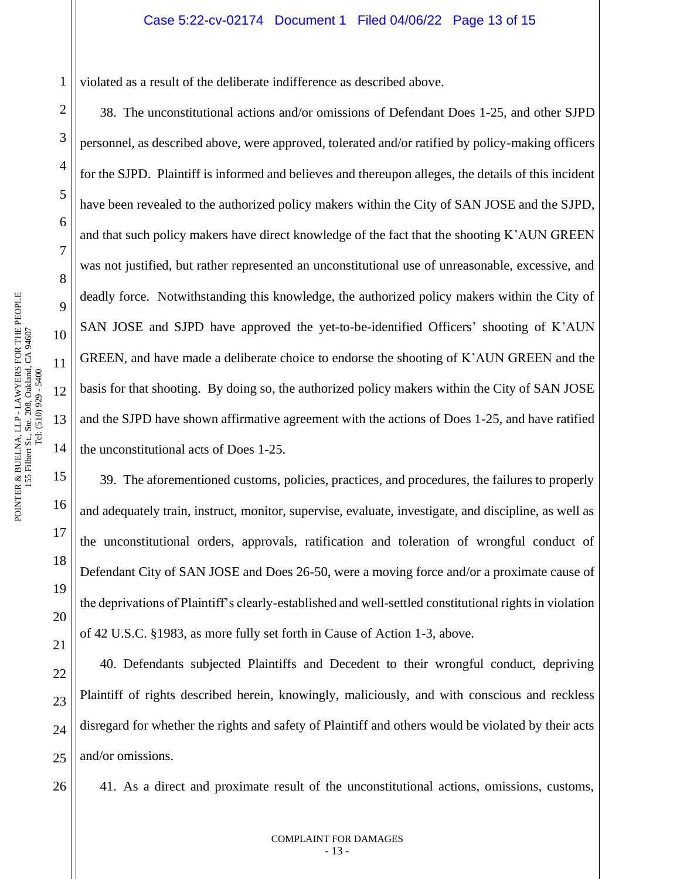violated as a result of the deliberate indifference as described above.

38. The unconstitutional actions and/or omissions of Defendant Does 1-25, and other SJPD personnel, as described above, were approved, tolerated and/or ratified by policy-making officers for the SJPD. Plaintiff is informed and believes and thereupon alleges, the details of this incident have been revealed to the authorized policy makers within the City of SAN JOSE and the SJPD, and that such policy makers have direct knowledge of the fact that the shooting K'AUN GREEN was not justified, but rather represented an unconstitutional use of unreasonable, excessive, and deadly force. Notwithstanding this knowledge, the authorized policy makers within the City of SAN JOSE and SJPD have approved the yet-to-be-identified Officers' shooting of K'AUN GREEN, and have made a deliberate choice to endorse the shooting of K'AUN GREEN and the basis for that shooting. By doing so, the authorized policy makers within the City of SAN JOSE and the SJPD have shown affirmative agreement with the actions of Does 1-25, and have ratified the unconstitutional acts of Does 1-25.

39. The aforementioned customs, policies, practices, and procedures, the failures to properly and adequately train, instruct, monitor, supervise, evaluate, investigate, and discipline, as well as the unconstitutional orders, approvals, ratification and toleration of wrongful conduct of Defendant City of SAN JOSE and Does 26-50, were a moving force and/or a proximate cause of the deprivations of Plaintiff's clearly-established and well-settled constitutional rights in violation of 42 U.S.C. §1983, as more fully set forth in Cause of Action 1-3, above.

40. Defendants subjected Plaintiffs and Decedent to their wrongful conduct, depriving Plaintiff of rights described herein, knowingly, maliciously, and with conscious and reckless disregard for whether the rights and safety of Plaintiff and others would be violated by their acts and/or omissions.

41. As a direct and proximate result of the unconstitutional actions, omissions, customs,

1

2

3

4

5

6

7

8

9

10

11

12

13

14

15

16

17

18

19

20

21

22

23

24

25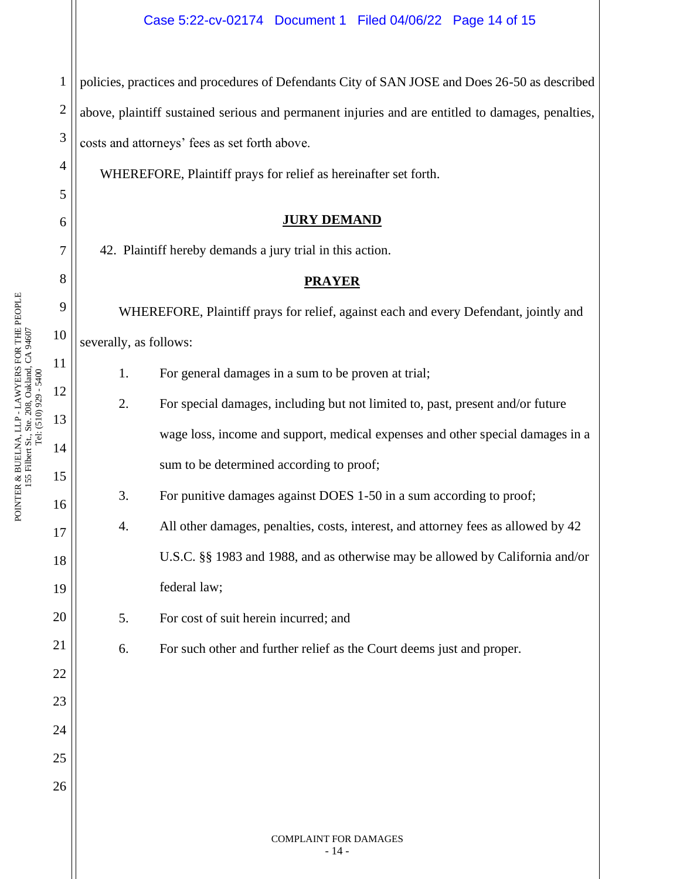1 2 3 policies, practices and procedures of Defendants City of SAN JOSE and Does 26-50 as described above, plaintiff sustained serious and permanent injuries and are entitled to damages, penalties, costs and attorneys' fees as set forth above.

WHEREFORE, Plaintiff prays for relief as hereinafter set forth.

# **JURY DEMAND**

42. Plaintiff hereby demands a jury trial in this action.

# **PRAYER**

WHEREFORE, Plaintiff prays for relief, against each and every Defendant, jointly and severally, as follows:

- 1. For general damages in a sum to be proven at trial;
- 2. For special damages, including but not limited to, past, present and/or future wage loss, income and support, medical expenses and other special damages in a sum to be determined according to proof;
- 3. For punitive damages against DOES 1-50 in a sum according to proof;
- 4. All other damages, penalties, costs, interest, and attorney fees as allowed by 42 U.S.C. §§ 1983 and 1988, and as otherwise may be allowed by California and/or federal law;
	- 5. For cost of suit herein incurred; and
	- 6. For such other and further relief as the Court deems just and proper.

4

5

6

7

8

9

10

11

12

13

14

15

16

17

18

19

20

21

22

23

24

25